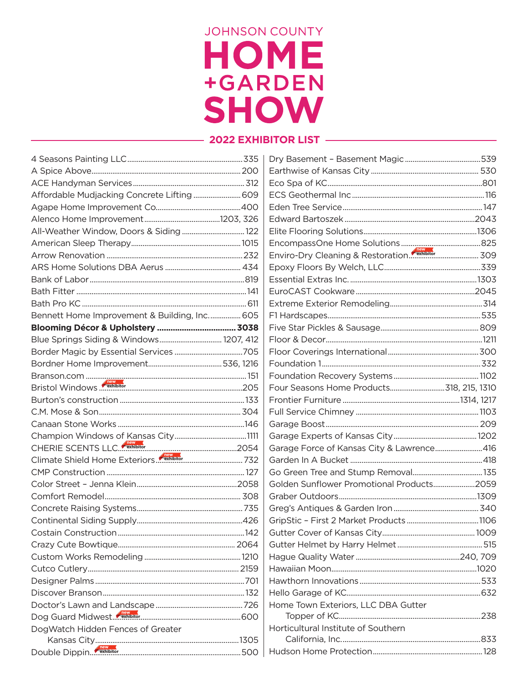## **JOHNSON COUNTY** HOME +GARDEN **SHOW**

## - 2022 EXHIBITOR LIST -

| Affordable Mudjacking Concrete Lifting  609  |                                           |  |
|----------------------------------------------|-------------------------------------------|--|
|                                              |                                           |  |
|                                              |                                           |  |
| All-Weather Window, Doors & Siding 122       |                                           |  |
|                                              |                                           |  |
|                                              |                                           |  |
|                                              |                                           |  |
|                                              |                                           |  |
|                                              |                                           |  |
|                                              |                                           |  |
| Bennett Home Improvement & Building, Inc 605 |                                           |  |
|                                              |                                           |  |
| Blue Springs Siding & Windows 1207, 412      |                                           |  |
|                                              |                                           |  |
|                                              |                                           |  |
|                                              |                                           |  |
| Bristol Windows <b>CERNibitor</b> 205        |                                           |  |
|                                              |                                           |  |
|                                              |                                           |  |
|                                              |                                           |  |
|                                              |                                           |  |
|                                              | Garage Force of Kansas City & Lawrence416 |  |
|                                              |                                           |  |
|                                              |                                           |  |
|                                              | Golden Sunflower Promotional Products2059 |  |
|                                              |                                           |  |
|                                              |                                           |  |
|                                              |                                           |  |
|                                              |                                           |  |
|                                              |                                           |  |
|                                              |                                           |  |
|                                              |                                           |  |
|                                              |                                           |  |
|                                              |                                           |  |
|                                              | Home Town Exteriors, LLC DBA Gutter       |  |
|                                              |                                           |  |
| DogWatch Hidden Fences of Greater            | Horticultural Institute of Southern       |  |
|                                              |                                           |  |
|                                              |                                           |  |